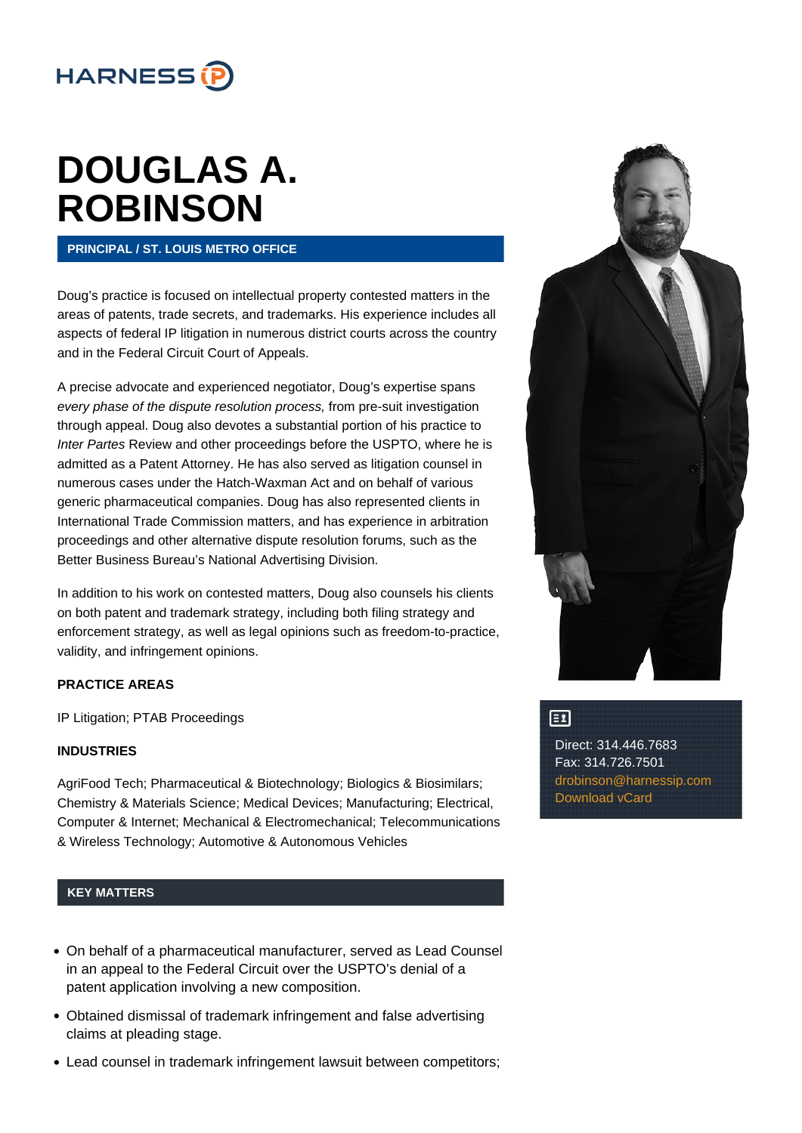

# **[DOUGLAS A.](https://www.harnessip.com/people/douglas-a-robinson/) [ROBINSON](https://www.harnessip.com/people/douglas-a-robinson/)**

### **PRINCIPAL / ST. LOUIS METRO OFFICE**

Doug's practice is focused on intellectual property contested matters in the areas of patents, trade secrets, and trademarks. His experience includes all aspects of federal IP litigation in numerous district courts across the country and in the Federal Circuit Court of Appeals.

A precise advocate and experienced negotiator, Doug's expertise spans every phase of the dispute resolution process, from pre-suit investigation through appeal. Doug also devotes a substantial portion of his practice to Inter Partes Review and other proceedings before the USPTO, where he is admitted as a Patent Attorney. He has also served as litigation counsel in numerous cases under the Hatch-Waxman Act and on behalf of various generic pharmaceutical companies. Doug has also represented clients in International Trade Commission matters, and has experience in arbitration proceedings and other alternative dispute resolution forums, such as the Better Business Bureau's National Advertising Division.

In addition to his work on contested matters, Doug also counsels his clients on both patent and trademark strategy, including both filing strategy and enforcement strategy, as well as legal opinions such as freedom-to-practice, validity, and infringement opinions.

#### **PRACTICE AREAS**

IP Litigation; PTAB Proceedings

#### **INDUSTRIES**

AgriFood Tech; Pharmaceutical & Biotechnology; Biologics & Biosimilars; Chemistry & Materials Science; Medical Devices; Manufacturing; Electrical, Computer & Internet; Mechanical & Electromechanical; Telecommunications & Wireless Technology; Automotive & Autonomous Vehicles

# **KEY MATTERS**

- On behalf of a pharmaceutical manufacturer, served as Lead Counsel in an appeal to the Federal Circuit over the USPTO's denial of a patent application involving a new composition.
- Obtained dismissal of trademark infringement and false advertising claims at pleading stage.
- Lead counsel in trademark infringement lawsuit between competitors;



# $\Xi$

Direct: 314.446.7683 Fax: 314.726.7501 [drobinson@harnessip.com](mailto:drobinson@harnessip.com) [Download vCard](https://www.harnessip.com/wordpress/wp-content/uploads/2015/10/Douglas_A._Robinson.vcf)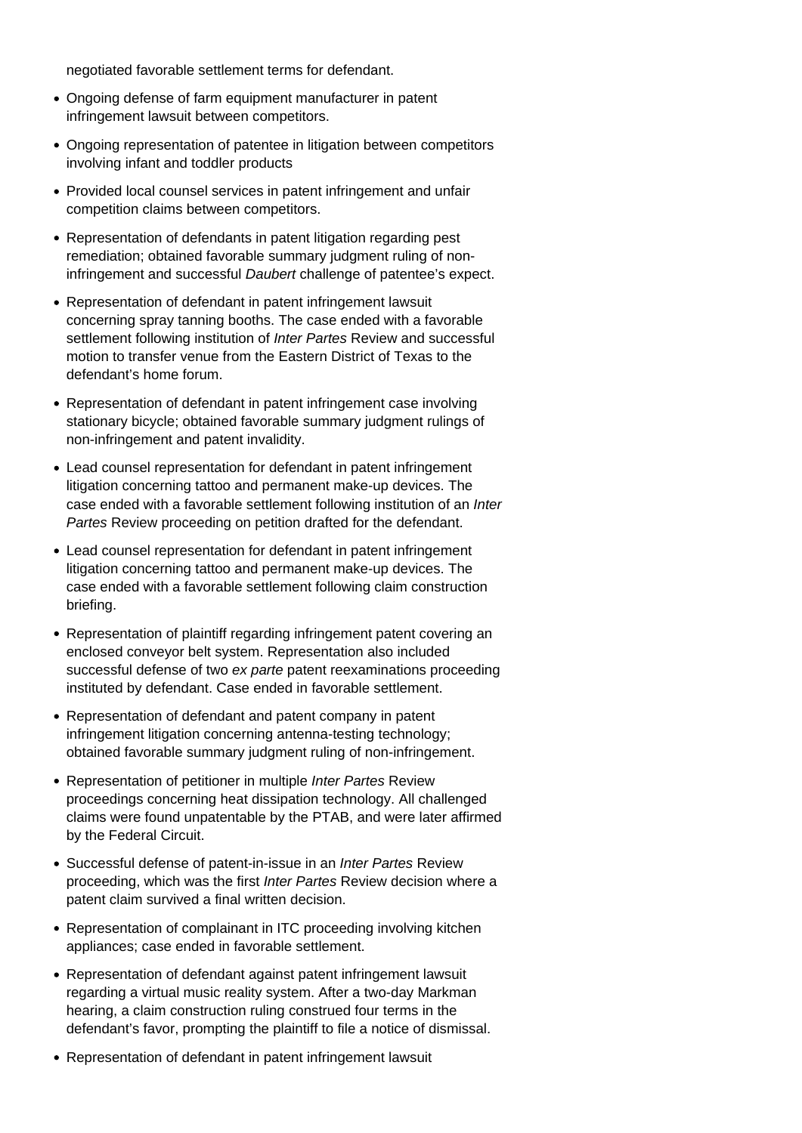negotiated favorable settlement terms for defendant.

- Ongoing defense of farm equipment manufacturer in patent infringement lawsuit between competitors.
- Ongoing representation of patentee in litigation between competitors involving infant and toddler products
- Provided local counsel services in patent infringement and unfair competition claims between competitors.
- Representation of defendants in patent litigation regarding pest remediation; obtained favorable summary judgment ruling of noninfringement and successful Daubert challenge of patentee's expect.
- Representation of defendant in patent infringement lawsuit concerning spray tanning booths. The case ended with a favorable settlement following institution of Inter Partes Review and successful motion to transfer venue from the Eastern District of Texas to the defendant's home forum.
- Representation of defendant in patent infringement case involving stationary bicycle; obtained favorable summary judgment rulings of non-infringement and patent invalidity.
- Lead counsel representation for defendant in patent infringement litigation concerning tattoo and permanent make-up devices. The case ended with a favorable settlement following institution of an Inter Partes Review proceeding on petition drafted for the defendant.
- Lead counsel representation for defendant in patent infringement litigation concerning tattoo and permanent make-up devices. The case ended with a favorable settlement following claim construction briefing.
- Representation of plaintiff regarding infringement patent covering an enclosed conveyor belt system. Representation also included successful defense of two ex parte patent reexaminations proceeding instituted by defendant. Case ended in favorable settlement.
- Representation of defendant and patent company in patent infringement litigation concerning antenna-testing technology; obtained favorable summary judgment ruling of non-infringement.
- Representation of petitioner in multiple Inter Partes Review proceedings concerning heat dissipation technology. All challenged claims were found unpatentable by the PTAB, and were later affirmed by the Federal Circuit.
- Successful defense of patent-in-issue in an Inter Partes Review proceeding, which was the first Inter Partes Review decision where a patent claim survived a final written decision.
- Representation of complainant in ITC proceeding involving kitchen appliances; case ended in favorable settlement.
- Representation of defendant against patent infringement lawsuit regarding a virtual music reality system. After a two-day Markman hearing, a claim construction ruling construed four terms in the defendant's favor, prompting the plaintiff to file a notice of dismissal.
- Representation of defendant in patent infringement lawsuit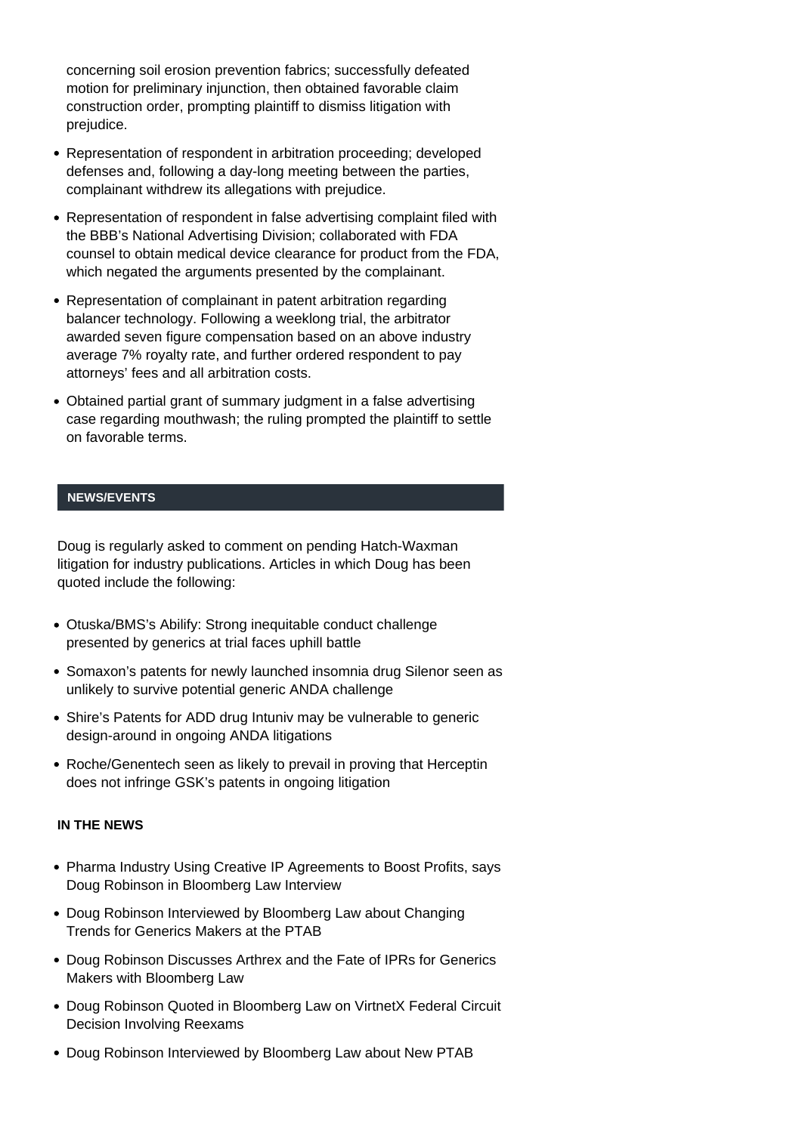concerning soil erosion prevention fabrics; successfully defeated motion for preliminary injunction, then obtained favorable claim construction order, prompting plaintiff to dismiss litigation with prejudice.

- Representation of respondent in arbitration proceeding; developed defenses and, following a day-long meeting between the parties, complainant withdrew its allegations with prejudice.
- Representation of respondent in false advertising complaint filed with the BBB's National Advertising Division; collaborated with FDA counsel to obtain medical device clearance for product from the FDA, which negated the arguments presented by the complainant.
- Representation of complainant in patent arbitration regarding balancer technology. Following a weeklong trial, the arbitrator awarded seven figure compensation based on an above industry average 7% royalty rate, and further ordered respondent to pay attorneys' fees and all arbitration costs.
- Obtained partial grant of summary judgment in a false advertising case regarding mouthwash; the ruling prompted the plaintiff to settle on favorable terms.

#### **NEWS/EVENTS**

Doug is regularly asked to comment on pending Hatch-Waxman litigation for industry publications. Articles in which Doug has been quoted include the following:

- Otuska/BMS's Abilify: Strong inequitable conduct challenge presented by generics at trial faces uphill battle
- Somaxon's patents for newly launched insomnia drug Silenor seen as unlikely to survive potential generic ANDA challenge
- Shire's Patents for ADD drug Intuniv may be vulnerable to generic design-around in ongoing ANDA litigations
- Roche/Genentech seen as likely to prevail in proving that Herceptin does not infringe GSK's patents in ongoing litigation

#### **IN THE NEWS**

- [Pharma Industry Using Creative IP Agreements to Boost Profits, says](https://www.harnessip.com/news-and-awards/pharma-industry-using-creative-ip-agreements-to-boost-profits-says-doug-robinson-in-bloomberg-law-interview/) [Doug Robinson in Bloomberg Law Interview](https://www.harnessip.com/news-and-awards/pharma-industry-using-creative-ip-agreements-to-boost-profits-says-doug-robinson-in-bloomberg-law-interview/)
- [Doug Robinson Interviewed by Bloomberg Law about Changing](https://www.harnessip.com/news-and-awards/doug-robinson-interviewed-by-bloomberg-law-about-changing-trends-for-generics-makers-at-the-ptab/) [Trends for Generics Makers at the PTAB](https://www.harnessip.com/news-and-awards/doug-robinson-interviewed-by-bloomberg-law-about-changing-trends-for-generics-makers-at-the-ptab/)
- [Doug Robinson Discusses Arthrex and the Fate of IPRs for Generics](https://www.harnessip.com/news-and-awards/iprs-for-generics-makers/) [Makers with Bloomberg Law](https://www.harnessip.com/news-and-awards/iprs-for-generics-makers/)
- [Doug Robinson Quoted in Bloomberg Law on VirtnetX Federal Circuit](https://www.harnessip.com/news-and-awards/doug-robinson-quoted-in-bloomberg-law-on-virtnetx-federal-circuit-decision-involving-reexams/) [Decision Involving Reexams](https://www.harnessip.com/news-and-awards/doug-robinson-quoted-in-bloomberg-law-on-virtnetx-federal-circuit-decision-involving-reexams/)
- [Doug Robinson Interviewed by Bloomberg Law about New PTAB](https://www.harnessip.com/news-and-awards/doug-robinson-interviewed-by-bloomberg-law-about-new-ptab-evidence-precedent/)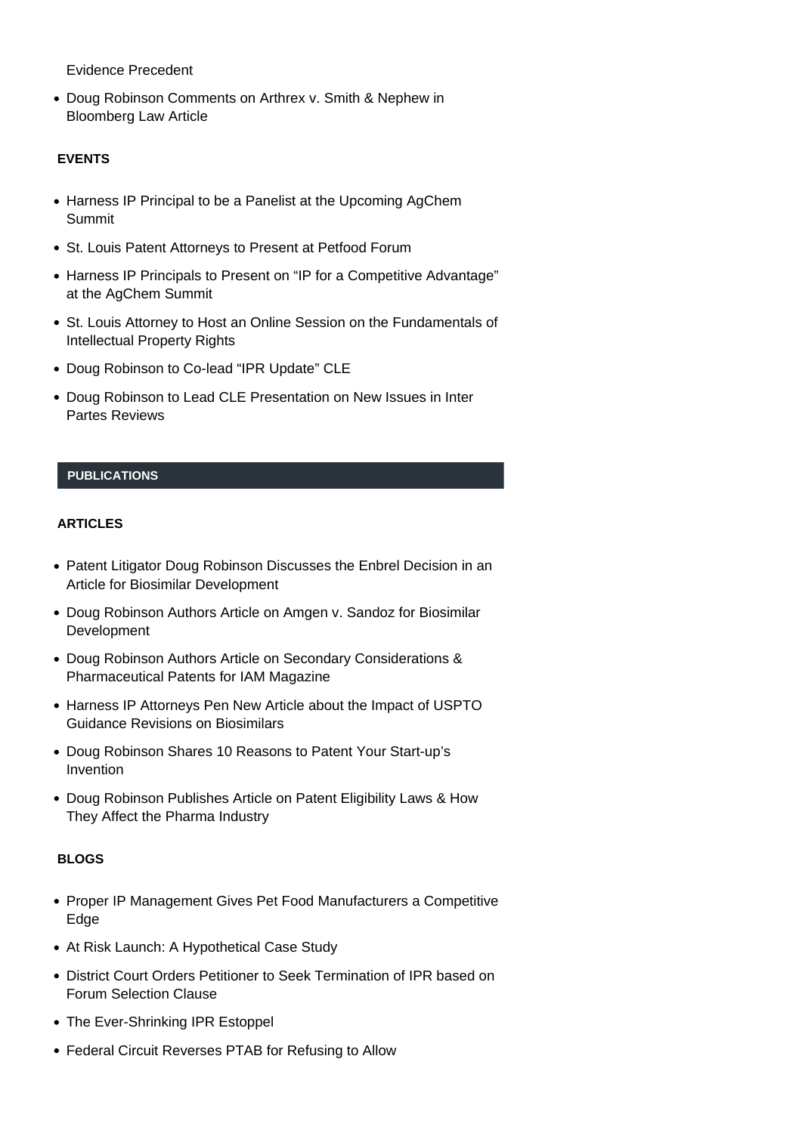[Evidence Precedent](https://www.harnessip.com/news-and-awards/doug-robinson-interviewed-by-bloomberg-law-about-new-ptab-evidence-precedent/)

[Doug Robinson Comments on Arthrex v. Smith & Nephew in](https://www.harnessip.com/news-and-awards/doug-robinson-comments-on-arthrex-v-smith-nephew-in-bloomberg-law-article/) [Bloomberg Law Article](https://www.harnessip.com/news-and-awards/doug-robinson-comments-on-arthrex-v-smith-nephew-in-bloomberg-law-article/)

# **EVENTS**

- [Harness IP Principal to be a Panelist at the Upcoming AgChem](https://www.harnessip.com/news-and-awards/harness-ip-principal-to-be-a-panelist-at-the-upcoming-agchem-summit/) [Summit](https://www.harnessip.com/news-and-awards/harness-ip-principal-to-be-a-panelist-at-the-upcoming-agchem-summit/)
- [St. Louis Patent Attorneys to Present at Petfood Forum](https://www.harnessip.com/news-and-awards/st-louis-patent-attorneys-to-present-at-petfood-forum/)
- [Harness IP Principals to Present on "IP for a Competitive Advantage"](https://www.harnessip.com/news-and-awards/harness-ip-principals-to-present-on-ip-for-a-competitive-advantage-at-the-agchem-summit/) [at the AgChem Summit](https://www.harnessip.com/news-and-awards/harness-ip-principals-to-present-on-ip-for-a-competitive-advantage-at-the-agchem-summit/)
- [St. Louis Attorney to Host an Online Session on the Fundamentals of](https://www.harnessip.com/news-and-awards/st-louis-attorney-to-host-an-online-session-on-the-fundamentals-of-intellectual-property-rights/) [Intellectual Property Rights](https://www.harnessip.com/news-and-awards/st-louis-attorney-to-host-an-online-session-on-the-fundamentals-of-intellectual-property-rights/)
- [Doug Robinson to Co-lead "IPR Update" CLE](https://www.harnessip.com/news-and-awards/doug-robinson-to-co-lead-ipr-update-cle/)
- [Doug Robinson to Lead CLE Presentation on New Issues in Inter](https://www.harnessip.com/news-and-awards/doug-robinson-to-lead-cle-presentation-on-new-issues-in-inter-partes-reviews/) [Partes Reviews](https://www.harnessip.com/news-and-awards/doug-robinson-to-lead-cle-presentation-on-new-issues-in-inter-partes-reviews/)

# **PUBLICATIONS**

# **ARTICLES**

- [Patent Litigator Doug Robinson Discusses the Enbrel Decision in an](https://www.harnessip.com/news-and-awards/patent-litigator-doug-robinson-discusses-the-enbrel-decision-in-an-article-for-biosimilar-development/) [Article for Biosimilar Development](https://www.harnessip.com/news-and-awards/patent-litigator-doug-robinson-discusses-the-enbrel-decision-in-an-article-for-biosimilar-development/)
- [Doug Robinson Authors Article on Amgen v. Sandoz for Biosimilar](https://www.harnessip.com/news-and-awards/doug-robinson-authors-article-on-amgen-v-sandoz-for-biosimilar-development/) [Development](https://www.harnessip.com/news-and-awards/doug-robinson-authors-article-on-amgen-v-sandoz-for-biosimilar-development/)
- [Doug Robinson Authors Article on Secondary Considerations &](https://www.harnessip.com/news-and-awards/doug-robinson-authors-article-on-secondary-considerations-pharmaceutical-patents-for-iam-magazine/) [Pharmaceutical Patents for IAM Magazine](https://www.harnessip.com/news-and-awards/doug-robinson-authors-article-on-secondary-considerations-pharmaceutical-patents-for-iam-magazine/)
- [Harness IP Attorneys Pen New Article about the Impact of USPTO](https://www.harnessip.com/news-and-awards/harness-ip-attorneys-pen-new-article-about-the-impact-of-uspto-guidance-revisions-on-biosimilars/) [Guidance Revisions on Biosimilars](https://www.harnessip.com/news-and-awards/harness-ip-attorneys-pen-new-article-about-the-impact-of-uspto-guidance-revisions-on-biosimilars/)
- [Doug Robinson Shares 10 Reasons to Patent Your Start-up's](https://www.harnessip.com/news-and-awards/doug-robinson-shares-10-reasons-to-patent-your-start-ups-invention/) [Invention](https://www.harnessip.com/news-and-awards/doug-robinson-shares-10-reasons-to-patent-your-start-ups-invention/)
- [Doug Robinson Publishes Article on Patent Eligibility Laws & How](https://www.harnessip.com/news-and-awards/doug-robinson-publishes-article-on-patent-eligibility-laws-how-they-affect-the-pharma-industry/) [They Affect the Pharma Industry](https://www.harnessip.com/news-and-awards/doug-robinson-publishes-article-on-patent-eligibility-laws-how-they-affect-the-pharma-industry/)

# **BLOGS**

- [Proper IP Management Gives Pet Food Manufacturers a Competitive](https://www.harnessip.com/blog/2020/10/09/proper-ip-management-gives-pet-food-manufacturers-a-competitive-edge/) [Edge](https://www.harnessip.com/blog/2020/10/09/proper-ip-management-gives-pet-food-manufacturers-a-competitive-edge/)
- [At Risk Launch: A Hypothetical Case Study](https://www.harnessip.com/blog/2018/08/09/at-risk-launch-a-hypothetical-case-study/)
- [District Court Orders Petitioner to Seek Termination of IPR based on](https://www.harnessip.com/blog/2018/04/02/district-court-orders-petitioner-to-seek-termination-of-ipr-based-on-forum-selection-clause/) [Forum Selection Clause](https://www.harnessip.com/blog/2018/04/02/district-court-orders-petitioner-to-seek-termination-of-ipr-based-on-forum-selection-clause/)
- [The Ever-Shrinking IPR Estoppel](https://www.harnessip.com/blog/2018/01/09/the-ever-shrinking-ipr-estoppel/)
- [Federal Circuit Reverses PTAB for Refusing to Allow](https://www.harnessip.com/blog/2017/09/14/federal-circuit-reverses-ptab-for-refusing-to-allow-supplementation-of-record-to-add-later-inconsistent-deposition-testimony-from-an-expert/)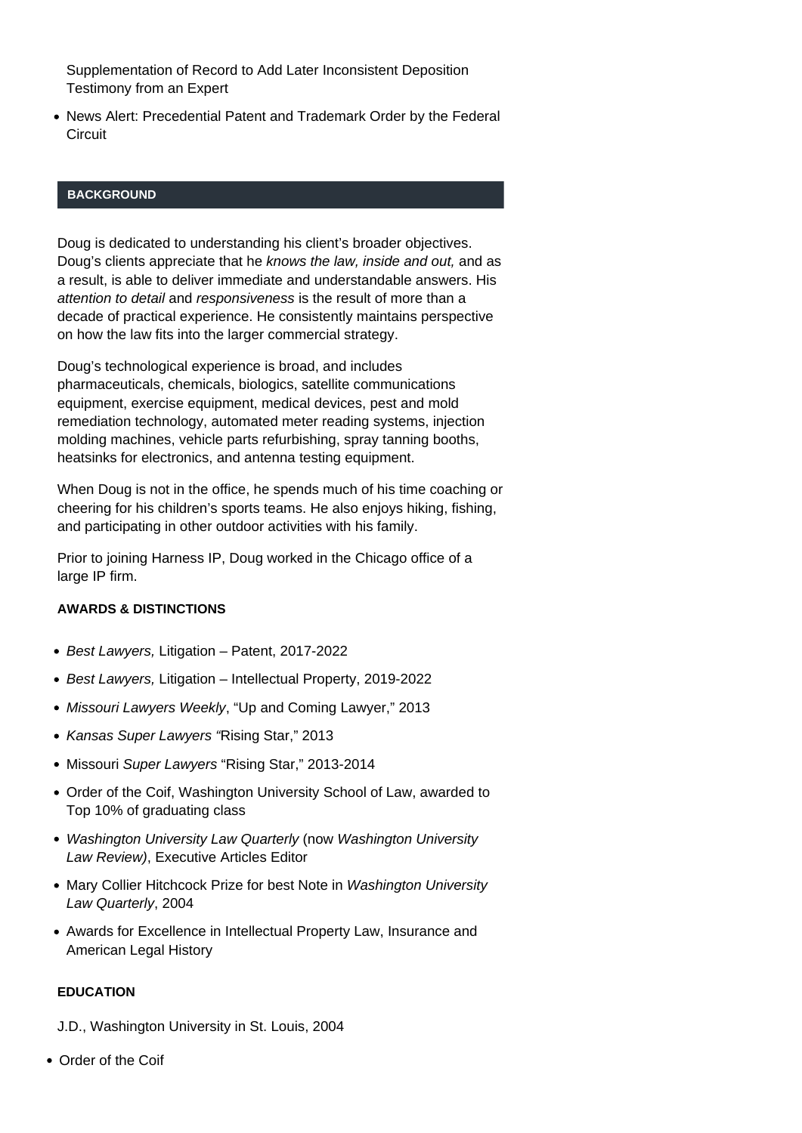[Supplementation of Record to Add Later Inconsistent Deposition](https://www.harnessip.com/blog/2017/09/14/federal-circuit-reverses-ptab-for-refusing-to-allow-supplementation-of-record-to-add-later-inconsistent-deposition-testimony-from-an-expert/) [Testimony from an Expert](https://www.harnessip.com/blog/2017/09/14/federal-circuit-reverses-ptab-for-refusing-to-allow-supplementation-of-record-to-add-later-inconsistent-deposition-testimony-from-an-expert/)

[News Alert: Precedential Patent and Trademark Order by the Federal](https://www.harnessip.com/blog/2017/08/31/news-alert-precedential-patent-and-trademark-order-by-the-federal-circuit/) **[Circuit](https://www.harnessip.com/blog/2017/08/31/news-alert-precedential-patent-and-trademark-order-by-the-federal-circuit/)** 

#### **BACKGROUND**

Doug is dedicated to understanding his client's broader objectives. Doug's clients appreciate that he knows the law, inside and out, and as a result, is able to deliver immediate and understandable answers. His attention to detail and responsiveness is the result of more than a decade of practical experience. He consistently maintains perspective on how the law fits into the larger commercial strategy.

Doug's technological experience is broad, and includes pharmaceuticals, chemicals, biologics, satellite communications equipment, exercise equipment, medical devices, pest and mold remediation technology, automated meter reading systems, injection molding machines, vehicle parts refurbishing, spray tanning booths, heatsinks for electronics, and antenna testing equipment.

When Doug is not in the office, he spends much of his time coaching or cheering for his children's sports teams. He also enjoys hiking, fishing, and participating in other outdoor activities with his family.

Prior to joining Harness IP, Doug worked in the Chicago office of a large IP firm.

### **AWARDS & DISTINCTIONS**

- Best Lawyers, Litigation Patent, 2017-2022
- Best Lawyers, Litigation Intellectual Property, 2019-2022
- Missouri Lawyers Weekly, "Up and Coming Lawyer," 2013
- Kansas Super Lawyers "Rising Star," 2013
- Missouri Super Lawyers "Rising Star," 2013-2014
- Order of the Coif, Washington University School of Law, awarded to Top 10% of graduating class
- Washington University Law Quarterly (now Washington University Law Review), Executive Articles Editor
- Mary Collier Hitchcock Prize for best Note in Washington University Law Quarterly, 2004
- Awards for Excellence in Intellectual Property Law, Insurance and American Legal History

#### **EDUCATION**

J.D., Washington University in St. Louis, 2004

• Order of the Coif